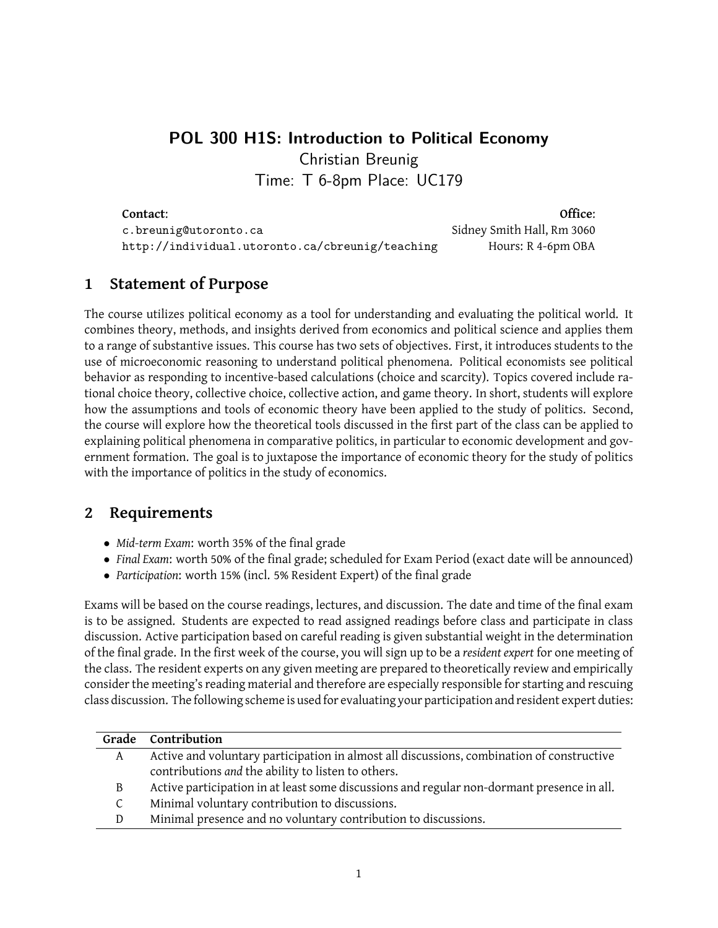# **POL 300 H1S: Introduction to Political Economy** Christian Breunig Time: T 6-8pm Place: UC179

**Contact: Office: Office: Office: Office: Office: Office: Office: Office: Office: Office: Office: Office: Office: Office: Office: Office: Office: Office: Office: Office: Office:** c.breunig@utoronto.ca Sidney Smith Hall, Rm 3060 http://individual.utoronto.ca/cbreunig/teaching Hours: R 4-6pm OBA

# **1 Statement of Purpose**

The course utilizes political economy as a tool for understanding and evaluating the political world. It combines theory, methods, and insights derived from economics and political science and applies them to a range of substantive issues. This course has two sets of objectives. First, it introduces students to the use of microeconomic reasoning to understand political phenomena. Political economists see political behavior as responding to incentive-based calculations (choice and scarcity). Topics covered include rational choice theory, collective choice, collective action, and game theory. In short, students will explore how the assumptions and tools of economic theory have been applied to the study of politics. Second, the course will explore how the theoretical tools discussed in the first part of the class can be applied to explaining political phenomena in comparative politics, in particular to economic development and government formation. The goal is to juxtapose the importance of economic theory for the study of politics with the importance of politics in the study of economics.

# **2 Requirements**

- *• Mid-term Exam*: worth 35% of the final grade
- *• Final Exam*: worth 50% of the final grade; scheduled for Exam Period (exact date will be announced)
- *• Participation*: worth 15% (incl. 5% Resident Expert) of the final grade

Exams will be based on the course readings, lectures, and discussion. The date and time of the final exam is to be assigned. Students are expected to read assigned readings before class and participate in class discussion. Active participation based on careful reading is given substantial weight in the determination of the final grade. In the first week of the course, you will sign up to be a *resident expert* for one meeting of the class. The resident experts on any given meeting are prepared to theoretically review and empirically consider the meeting's reading material and therefore are especially responsible for starting and rescuing class discussion. The following scheme is used for evaluating your participation and resident expert duties:

|   | Grade Contribution                                                                         |
|---|--------------------------------------------------------------------------------------------|
| A | Active and voluntary participation in almost all discussions, combination of constructive  |
|   | contributions and the ability to listen to others.                                         |
| B | Active participation in at least some discussions and regular non-dormant presence in all. |
|   | Minimal voluntary contribution to discussions.                                             |
|   | Minimal presence and no voluntary contribution to discussions.                             |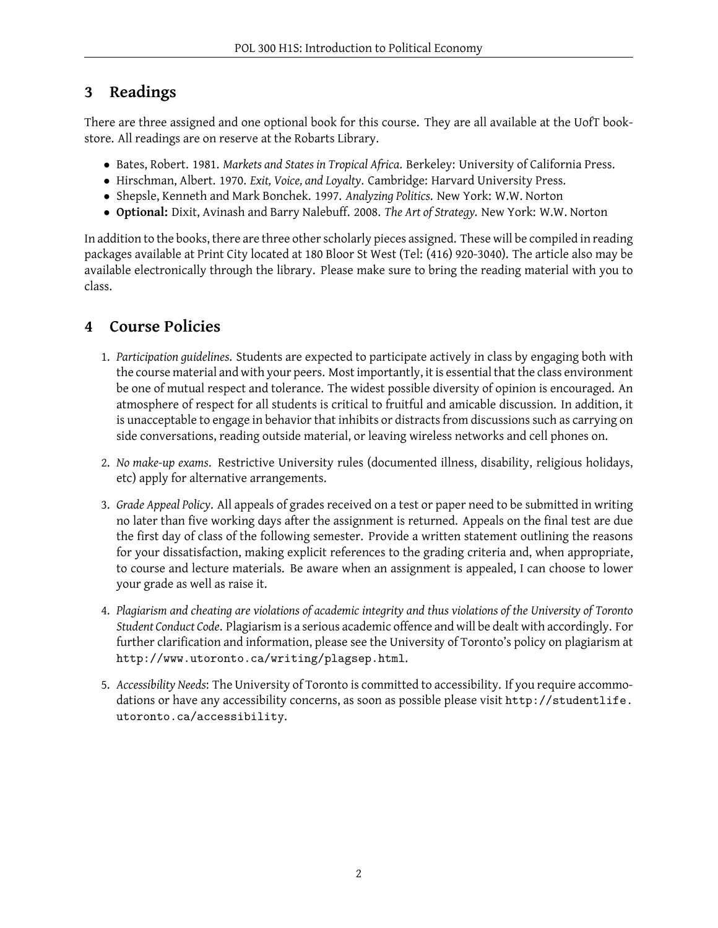# **3 Readings**

There are three assigned and one optional book for this course. They are all available at the UofT bookstore. All readings are on reserve at the Robarts Library.

- *•* Bates, Robert. 1981. *Markets and States in Tropical Africa*. Berkeley: University of California Press.
- *•* Hirschman, Albert. 1970. *Exit, Voice, and Loyalty*. Cambridge: Harvard University Press.
- *•* Shepsle, Kenneth and Mark Bonchek. 1997. *Analyzing Politics*. New York: W.W. Norton
- *•* **Optional:** Dixit, Avinash and Barry Nalebuff. 2008. *The Art of Strategy.* New York: W.W. Norton

In addition to the books, there are three other scholarly pieces assigned. These will be compiled in reading packages available at Print City located at 180 Bloor St West (Tel: (416) 920-3040). The article also may be available electronically through the library. Please make sure to bring the reading material with you to class.

# **4 Course Policies**

- 1. *Participation guidelines*. Students are expected to participate actively in class by engaging both with the course material and with your peers. Most importantly, it is essential that the class environment be one of mutual respect and tolerance. The widest possible diversity of opinion is encouraged. An atmosphere of respect for all students is critical to fruitful and amicable discussion. In addition, it is unacceptable to engage in behavior that inhibits or distracts from discussions such as carrying on side conversations, reading outside material, or leaving wireless networks and cell phones on.
- 2. *No make-up exams*. Restrictive University rules (documented illness, disability, religious holidays, etc) apply for alternative arrangements.
- 3. *Grade Appeal Policy*. All appeals of grades received on a test or paper need to be submitted in writing no later than five working days after the assignment is returned. Appeals on the final test are due the first day of class of the following semester. Provide a written statement outlining the reasons for your dissatisfaction, making explicit references to the grading criteria and, when appropriate, to course and lecture materials. Be aware when an assignment is appealed, I can choose to lower your grade as well as raise it.
- 4. *Plagiarism and cheating are violations of academic integrity and thus violations of the University of Toronto Student Conduct Code*. Plagiarism is a serious academic offence and will be dealt with accordingly. For further clarification and information, please see the University of Toronto's policy on plagiarism at http://www.utoronto.ca/writing/plagsep.html.
- 5. *Accessibility Needs*: The University of Toronto is committed to accessibility. If you require accommodations or have any accessibility concerns, as soon as possible please visit http://studentlife. utoronto.ca/accessibility.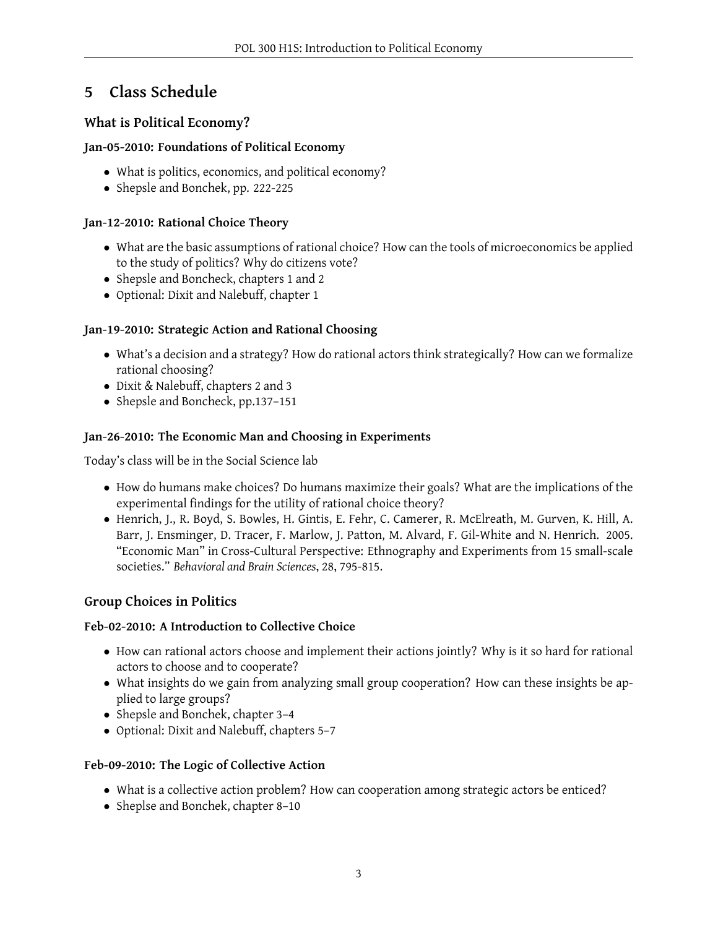# **5 Class Schedule**

# **What is Political Economy?**

# **Jan-05-2010: Foundations of Political Economy**

- What is politics, economics, and political economy?
- Shepsle and Bonchek, pp. 222-225

# **Jan-12-2010: Rational Choice Theory**

- What are the basic assumptions of rational choice? How can the tools of microeconomics be applied to the study of politics? Why do citizens vote?
- *•* Shepsle and Boncheck, chapters 1 and 2
- *•* Optional: Dixit and Nalebuff, chapter 1

# **Jan-19-2010: Strategic Action and Rational Choosing**

- What's a decision and a strategy? How do rational actors think strategically? How can we formalize rational choosing?
- *•* Dixit & Nalebuff, chapters 2 and 3
- *•* Shepsle and Boncheck, pp.137–151

# **Jan-26-2010: The Economic Man and Choosing in Experiments**

Today's class will be in the Social Science lab

- *•* How do humans make choices? Do humans maximize their goals? What are the implications of the experimental findings for the utility of rational choice theory?
- *•* Henrich, J., R. Boyd, S. Bowles, H. Gintis, E. Fehr, C. Camerer, R. McElreath, M. Gurven, K. Hill, A. Barr, J. Ensminger, D. Tracer, F. Marlow, J. Patton, M. Alvard, F. Gil-White and N. Henrich. 2005. "Economic Man" in Cross-Cultural Perspective: Ethnography and Experiments from 15 small-scale societies." *Behavioral and Brain Sciences*, 28, 795-815.

# **Group Choices in Politics**

## **Feb-02-2010: A Introduction to Collective Choice**

- How can rational actors choose and implement their actions jointly? Why is it so hard for rational actors to choose and to cooperate?
- What insights do we gain from analyzing small group cooperation? How can these insights be applied to large groups?
- *•* Shepsle and Bonchek, chapter 3–4
- *•* Optional: Dixit and Nalebuff, chapters 5–7

## **Feb-09-2010: The Logic of Collective Action**

- What is a collective action problem? How can cooperation among strategic actors be enticed?
- *•* Sheplse and Bonchek, chapter 8–10